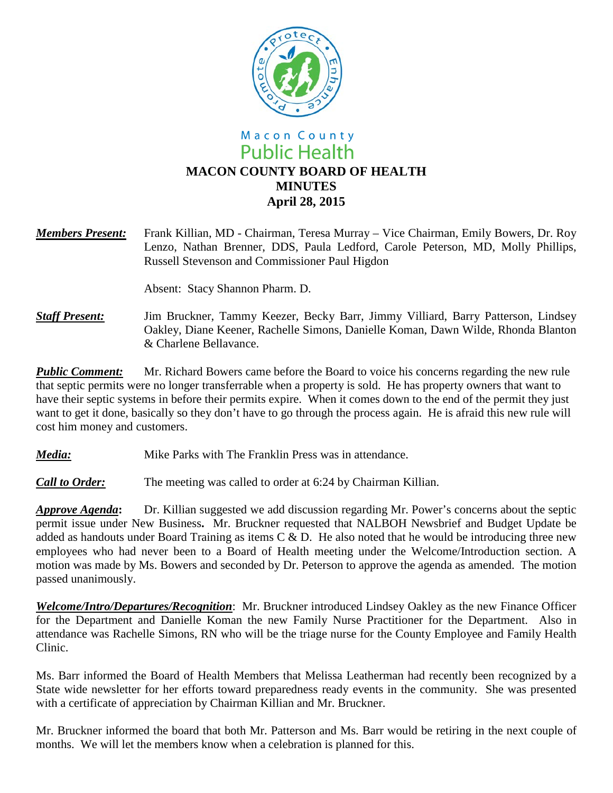

# Macon County **Public Health MACON COUNTY BOARD OF HEALTH MINUTES April 28, 2015**

*Members Present:* Frank Killian, MD - Chairman, Teresa Murray – Vice Chairman, Emily Bowers, Dr. Roy Lenzo, Nathan Brenner, DDS, Paula Ledford, Carole Peterson, MD, Molly Phillips, Russell Stevenson and Commissioner Paul Higdon

Absent: Stacy Shannon Pharm. D.

*Staff Present:*Jim Bruckner, Tammy Keezer, Becky Barr, Jimmy Villiard, Barry Patterson, Lindsey Oakley, Diane Keener, Rachelle Simons, Danielle Koman, Dawn Wilde, Rhonda Blanton & Charlene Bellavance.

*Public Comment:* Mr. Richard Bowers came before the Board to voice his concerns regarding the new rule that septic permits were no longer transferrable when a property is sold. He has property owners that want to have their septic systems in before their permits expire. When it comes down to the end of the permit they just want to get it done, basically so they don't have to go through the process again. He is afraid this new rule will cost him money and customers.

*Media:* Mike Parks with The Franklin Press was in attendance.

*Call to Order:* The meeting was called to order at 6:24 by Chairman Killian.

*Approve Agenda***:** Dr. Killian suggested we add discussion regarding Mr. Power's concerns about the septic permit issue under New Business**.** Mr. Bruckner requested that NALBOH Newsbrief and Budget Update be added as handouts under Board Training as items C & D. He also noted that he would be introducing three new employees who had never been to a Board of Health meeting under the Welcome/Introduction section. A motion was made by Ms. Bowers and seconded by Dr. Peterson to approve the agenda as amended. The motion passed unanimously.

*Welcome/Intro/Departures/Recognition*: Mr. Bruckner introduced Lindsey Oakley as the new Finance Officer for the Department and Danielle Koman the new Family Nurse Practitioner for the Department. Also in attendance was Rachelle Simons, RN who will be the triage nurse for the County Employee and Family Health Clinic.

Ms. Barr informed the Board of Health Members that Melissa Leatherman had recently been recognized by a State wide newsletter for her efforts toward preparedness ready events in the community. She was presented with a certificate of appreciation by Chairman Killian and Mr. Bruckner.

Mr. Bruckner informed the board that both Mr. Patterson and Ms. Barr would be retiring in the next couple of months. We will let the members know when a celebration is planned for this.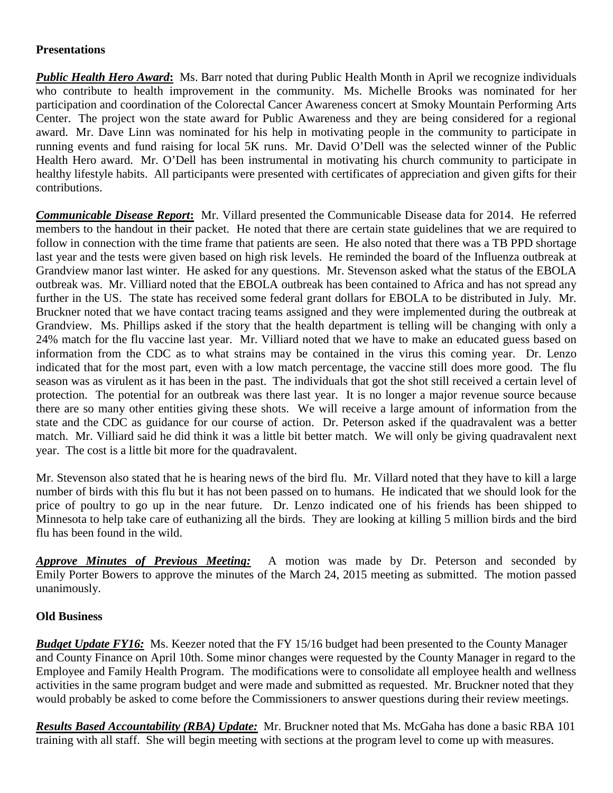## **Presentations**

**Public Health Hero Award:** Ms. Barr noted that during Public Health Month in April we recognize individuals who contribute to health improvement in the community. Ms. Michelle Brooks was nominated for her participation and coordination of the Colorectal Cancer Awareness concert at Smoky Mountain Performing Arts Center. The project won the state award for Public Awareness and they are being considered for a regional award. Mr. Dave Linn was nominated for his help in motivating people in the community to participate in running events and fund raising for local 5K runs. Mr. David O'Dell was the selected winner of the Public Health Hero award. Mr. O'Dell has been instrumental in motivating his church community to participate in healthy lifestyle habits. All participants were presented with certificates of appreciation and given gifts for their contributions.

*Communicable Disease Report***:** Mr. Villard presented the Communicable Disease data for 2014. He referred members to the handout in their packet. He noted that there are certain state guidelines that we are required to follow in connection with the time frame that patients are seen. He also noted that there was a TB PPD shortage last year and the tests were given based on high risk levels. He reminded the board of the Influenza outbreak at Grandview manor last winter. He asked for any questions. Mr. Stevenson asked what the status of the EBOLA outbreak was. Mr. Villiard noted that the EBOLA outbreak has been contained to Africa and has not spread any further in the US. The state has received some federal grant dollars for EBOLA to be distributed in July. Mr. Bruckner noted that we have contact tracing teams assigned and they were implemented during the outbreak at Grandview. Ms. Phillips asked if the story that the health department is telling will be changing with only a 24% match for the flu vaccine last year. Mr. Villiard noted that we have to make an educated guess based on information from the CDC as to what strains may be contained in the virus this coming year. Dr. Lenzo indicated that for the most part, even with a low match percentage, the vaccine still does more good. The flu season was as virulent as it has been in the past. The individuals that got the shot still received a certain level of protection. The potential for an outbreak was there last year. It is no longer a major revenue source because there are so many other entities giving these shots. We will receive a large amount of information from the state and the CDC as guidance for our course of action. Dr. Peterson asked if the quadravalent was a better match. Mr. Villiard said he did think it was a little bit better match. We will only be giving quadravalent next year. The cost is a little bit more for the quadravalent.

Mr. Stevenson also stated that he is hearing news of the bird flu. Mr. Villard noted that they have to kill a large number of birds with this flu but it has not been passed on to humans. He indicated that we should look for the price of poultry to go up in the near future. Dr. Lenzo indicated one of his friends has been shipped to Minnesota to help take care of euthanizing all the birds. They are looking at killing 5 million birds and the bird flu has been found in the wild.

*Approve Minutes of Previous Meeting:* A motion was made by Dr. Peterson and seconded by Emily Porter Bowers to approve the minutes of the March 24, 2015 meeting as submitted. The motion passed unanimously.

## **Old Business**

*Budget Update FY16:* Ms. Keezer noted that the FY 15/16 budget had been presented to the County Manager and County Finance on April 10th. Some minor changes were requested by the County Manager in regard to the Employee and Family Health Program. The modifications were to consolidate all employee health and wellness activities in the same program budget and were made and submitted as requested. Mr. Bruckner noted that they would probably be asked to come before the Commissioners to answer questions during their review meetings.

*Results Based Accountability (RBA) Update:* Mr. Bruckner noted that Ms. McGaha has done a basic RBA 101 training with all staff. She will begin meeting with sections at the program level to come up with measures.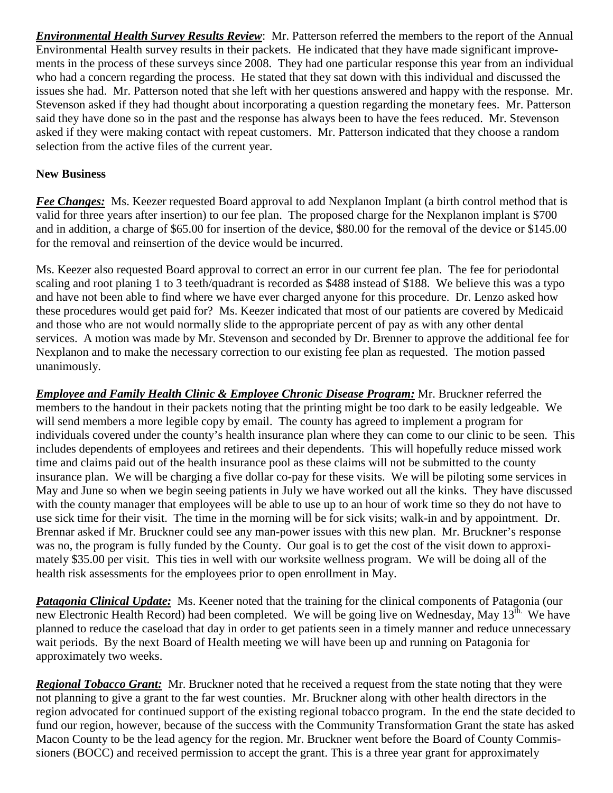*Environmental Health Survey Results Review*: Mr. Patterson referred the members to the report of the Annual Environmental Health survey results in their packets. He indicated that they have made significant improvements in the process of these surveys since 2008. They had one particular response this year from an individual who had a concern regarding the process. He stated that they sat down with this individual and discussed the issues she had. Mr. Patterson noted that she left with her questions answered and happy with the response. Mr. Stevenson asked if they had thought about incorporating a question regarding the monetary fees. Mr. Patterson said they have done so in the past and the response has always been to have the fees reduced. Mr. Stevenson asked if they were making contact with repeat customers. Mr. Patterson indicated that they choose a random selection from the active files of the current year.

## **New Business**

*Fee Changes:* Ms. Keezer requested Board approval to add Nexplanon Implant (a birth control method that is valid for three years after insertion) to our fee plan. The proposed charge for the Nexplanon implant is \$700 and in addition, a charge of \$65.00 for insertion of the device, \$80.00 for the removal of the device or \$145.00 for the removal and reinsertion of the device would be incurred.

Ms. Keezer also requested Board approval to correct an error in our current fee plan. The fee for periodontal scaling and root planing 1 to 3 teeth/quadrant is recorded as \$488 instead of \$188. We believe this was a typo and have not been able to find where we have ever charged anyone for this procedure. Dr. Lenzo asked how these procedures would get paid for? Ms. Keezer indicated that most of our patients are covered by Medicaid and those who are not would normally slide to the appropriate percent of pay as with any other dental services. A motion was made by Mr. Stevenson and seconded by Dr. Brenner to approve the additional fee for Nexplanon and to make the necessary correction to our existing fee plan as requested. The motion passed unanimously.

*Employee and Family Health Clinic & Employee Chronic Disease Program:* Mr. Bruckner referred the members to the handout in their packets noting that the printing might be too dark to be easily ledgeable. We will send members a more legible copy by email. The county has agreed to implement a program for individuals covered under the county's health insurance plan where they can come to our clinic to be seen. This includes dependents of employees and retirees and their dependents. This will hopefully reduce missed work time and claims paid out of the health insurance pool as these claims will not be submitted to the county insurance plan. We will be charging a five dollar co-pay for these visits. We will be piloting some services in May and June so when we begin seeing patients in July we have worked out all the kinks. They have discussed with the county manager that employees will be able to use up to an hour of work time so they do not have to use sick time for their visit. The time in the morning will be for sick visits; walk-in and by appointment. Dr. Brennar asked if Mr. Bruckner could see any man-power issues with this new plan. Mr. Bruckner's response was no, the program is fully funded by the County. Our goal is to get the cost of the visit down to approximately \$35.00 per visit. This ties in well with our worksite wellness program. We will be doing all of the health risk assessments for the employees prior to open enrollment in May.

*Patagonia Clinical Update:* Ms. Keener noted that the training for the clinical components of Patagonia (our new Electronic Health Record) had been completed. We will be going live on Wednesday, May 13<sup>th.</sup> We have planned to reduce the caseload that day in order to get patients seen in a timely manner and reduce unnecessary wait periods. By the next Board of Health meeting we will have been up and running on Patagonia for approximately two weeks.

*Regional Tobacco Grant:* Mr. Bruckner noted that he received a request from the state noting that they were not planning to give a grant to the far west counties. Mr. Bruckner along with other health directors in the region advocated for continued support of the existing regional tobacco program. In the end the state decided to fund our region, however, because of the success with the Community Transformation Grant the state has asked Macon County to be the lead agency for the region. Mr. Bruckner went before the Board of County Commissioners (BOCC) and received permission to accept the grant. This is a three year grant for approximately